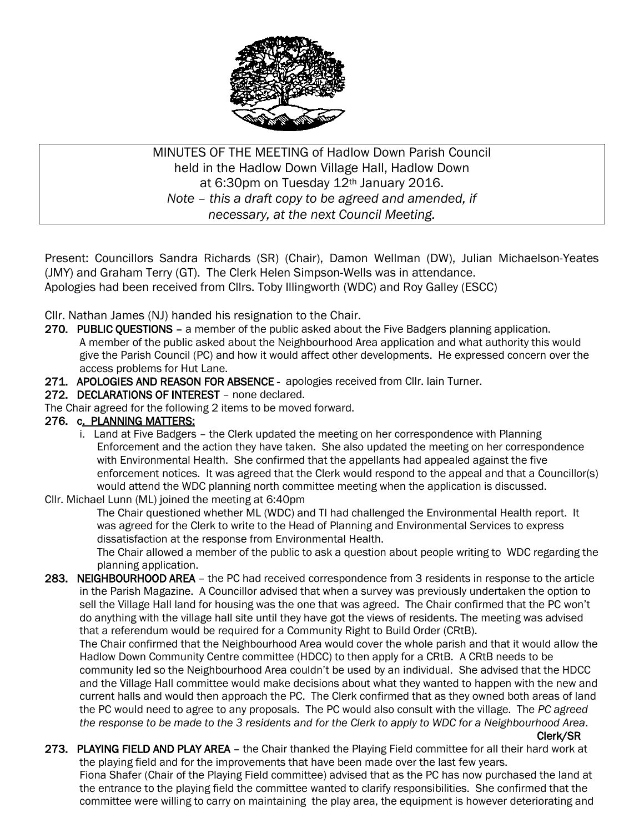

MINUTES OF THE MEETING of Hadlow Down Parish Council held in the Hadlow Down Village Hall, Hadlow Down at 6:30pm on Tuesday 12th January 2016. *Note – this a draft copy to be agreed and amended, if necessary, at the next Council Meeting.*

Present: Councillors Sandra Richards (SR) (Chair), Damon Wellman (DW), Julian Michaelson-Yeates (JMY) and Graham Terry (GT). The Clerk Helen Simpson-Wells was in attendance. Apologies had been received from Cllrs. Toby Illingworth (WDC) and Roy Galley (ESCC)

Cllr. Nathan James (NJ) handed his resignation to the Chair.

- 270. PUBLIC QUESTIONS a member of the public asked about the Five Badgers planning application. A member of the public asked about the Neighbourhood Area application and what authority this would give the Parish Council (PC) and how it would affect other developments. He expressed concern over the access problems for Hut Lane.
- 271. APOLOGIES AND REASON FOR ABSENCE apologies received from Cllr. Iain Turner.
- 272. DECLARATIONS OF INTEREST none declared.

The Chair agreed for the following 2 items to be moved forward.

#### 276. c. PLANNING MATTERS:

- i. Land at Five Badgers the Clerk updated the meeting on her correspondence with Planning Enforcement and the action they have taken. She also updated the meeting on her correspondence with Environmental Health. She confirmed that the appellants had appealed against the five enforcement notices. It was agreed that the Clerk would respond to the appeal and that a Councillor(s) would attend the WDC planning north committee meeting when the application is discussed.
- Cllr. Michael Lunn (ML) joined the meeting at 6:40pm

 The Chair questioned whether ML (WDC) and TI had challenged the Environmental Health report. It was agreed for the Clerk to write to the Head of Planning and Environmental Services to express dissatisfaction at the response from Environmental Health.

 The Chair allowed a member of the public to ask a question about people writing to WDC regarding the planning application.

283. NEIGHBOURHOOD AREA - the PC had received correspondence from 3 residents in response to the article in the Parish Magazine. A Councillor advised that when a survey was previously undertaken the option to sell the Village Hall land for housing was the one that was agreed. The Chair confirmed that the PC won't do anything with the village hall site until they have got the views of residents. The meeting was advised that a referendum would be required for a Community Right to Build Order (CRtB).

 The Chair confirmed that the Neighbourhood Area would cover the whole parish and that it would allow the Hadlow Down Community Centre committee (HDCC) to then apply for a CRtB. A CRtB needs to be community led so the Neighbourhood Area couldn't be used by an individual. She advised that the HDCC and the Village Hall committee would make decisions about what they wanted to happen with the new and current halls and would then approach the PC. The Clerk confirmed that as they owned both areas of land the PC would need to agree to any proposals. The PC would also consult with the village. The *PC agreed the response to be made to the 3 residents and for the Clerk to apply to WDC for a Neighbourhood Area*.

Clerk/SR

273. PLAYING FIELD AND PLAY AREA – the Chair thanked the Playing Field committee for all their hard work at the playing field and for the improvements that have been made over the last few years. Fiona Shafer (Chair of the Playing Field committee) advised that as the PC has now purchased the land at the entrance to the playing field the committee wanted to clarify responsibilities. She confirmed that the committee were willing to carry on maintaining the play area, the equipment is however deteriorating and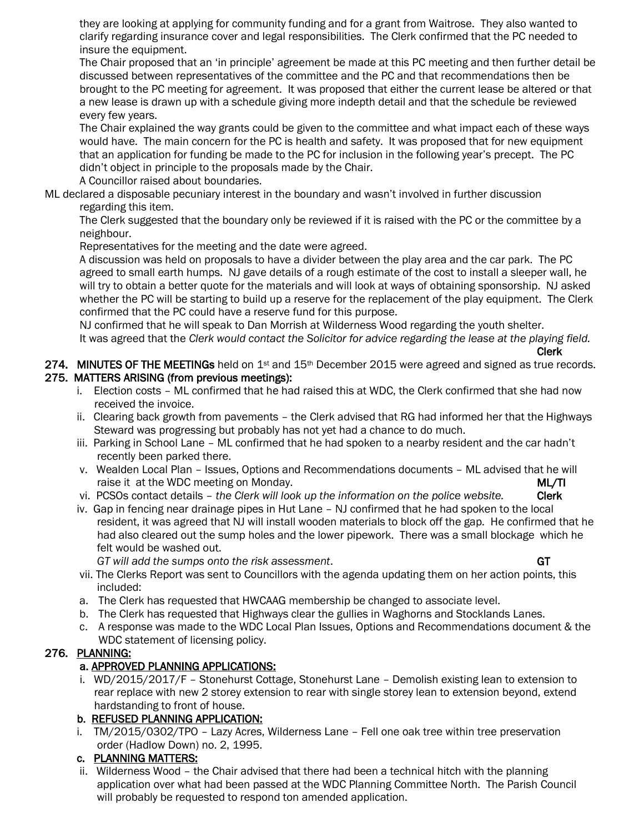they are looking at applying for community funding and for a grant from Waitrose. They also wanted to clarify regarding insurance cover and legal responsibilities. The Clerk confirmed that the PC needed to insure the equipment.

 The Chair proposed that an 'in principle' agreement be made at this PC meeting and then further detail be discussed between representatives of the committee and the PC and that recommendations then be brought to the PC meeting for agreement. It was proposed that either the current lease be altered or that a new lease is drawn up with a schedule giving more indepth detail and that the schedule be reviewed every few years.

 The Chair explained the way grants could be given to the committee and what impact each of these ways would have. The main concern for the PC is health and safety. It was proposed that for new equipment that an application for funding be made to the PC for inclusion in the following year's precept. The PC didn't object in principle to the proposals made by the Chair.

A Councillor raised about boundaries.

ML declared a disposable pecuniary interest in the boundary and wasn't involved in further discussion regarding this item.

 The Clerk suggested that the boundary only be reviewed if it is raised with the PC or the committee by a neighbour.

Representatives for the meeting and the date were agreed.

 A discussion was held on proposals to have a divider between the play area and the car park. The PC agreed to small earth humps. NJ gave details of a rough estimate of the cost to install a sleeper wall, he will try to obtain a better quote for the materials and will look at ways of obtaining sponsorship. NJ asked whether the PC will be starting to build up a reserve for the replacement of the play equipment. The Clerk confirmed that the PC could have a reserve fund for this purpose.

NJ confirmed that he will speak to Dan Morrish at Wilderness Wood regarding the youth shelter.

 It was agreed that the *Clerk would contact the Solicitor for advice regarding the lease at the playing field.* Clerk

#### 274. MINUTES OF THE MEETINGs held on  $1st$  and  $15th$  December 2015 were agreed and signed as true records. 275. MATTERS ARISING (from previous meetings):

- i. Election costs ML confirmed that he had raised this at WDC, the Clerk confirmed that she had now received the invoice.
- ii. Clearing back growth from pavements the Clerk advised that RG had informed her that the Highways Steward was progressing but probably has not yet had a chance to do much.
- iii. Parking in School Lane ML confirmed that he had spoken to a nearby resident and the car hadn't recently been parked there.
- v. Wealden Local Plan Issues, Options and Recommendations documents ML advised that he will raise it at the WDC meeting on Monday. The matrix of the MCC method of the ML/TI
- vi. PCSOs contact details *the Clerk will look up the information on the police website.* **Clerk**
- iv. Gap in fencing near drainage pipes in Hut Lane NJ confirmed that he had spoken to the local resident, it was agreed that NJ will install wooden materials to block off the gap. He confirmed that he had also cleared out the sump holes and the lower pipework. There was a small blockage which he felt would be washed out.

*GT will add the sumps onto the risk assessment*. GT

- 
- vii. The Clerks Report was sent to Councillors with the agenda updating them on her action points, this included:
- a. The Clerk has requested that HWCAAG membership be changed to associate level.
- b. The Clerk has requested that Highways clear the gullies in Waghorns and Stocklands Lanes.
- c. A response was made to the WDC Local Plan Issues, Options and Recommendations document & the WDC statement of licensing policy.

## 276. PLANNING:

## a. APPROVED PLANNING APPLICATIONS:

 i. WD/2015/2017/F – Stonehurst Cottage, Stonehurst Lane – Demolish existing lean to extension to rear replace with new 2 storey extension to rear with single storey lean to extension beyond, extend hardstanding to front of house.

## b. REFUSED PLANNING APPLICATION:

 i. TM/2015/0302/TPO – Lazy Acres, Wilderness Lane – Fell one oak tree within tree preservation order (Hadlow Down) no. 2, 1995.

## c. PLANNING MATTERS:

 ii. Wilderness Wood – the Chair advised that there had been a technical hitch with the planning application over what had been passed at the WDC Planning Committee North. The Parish Council will probably be requested to respond ton amended application.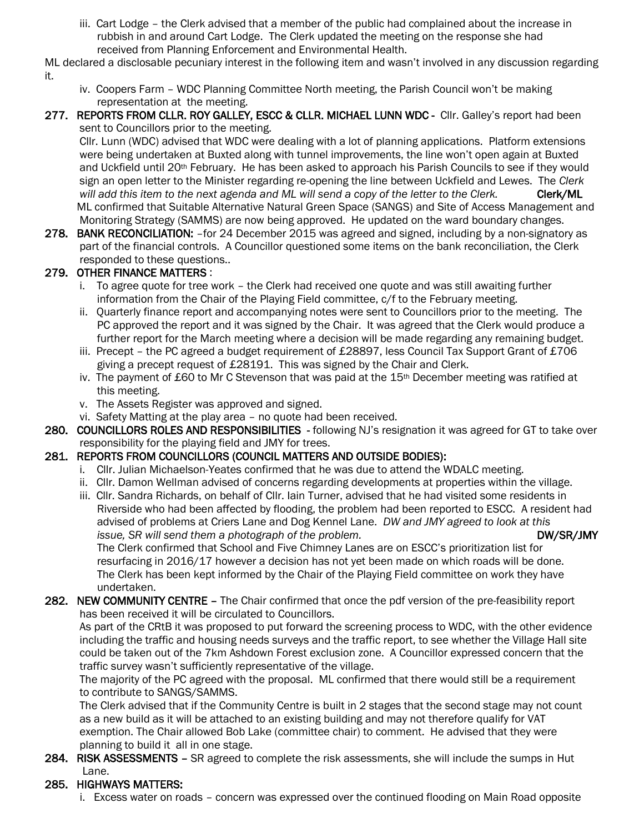iii. Cart Lodge – the Clerk advised that a member of the public had complained about the increase in rubbish in and around Cart Lodge. The Clerk updated the meeting on the response she had received from Planning Enforcement and Environmental Health.

ML declared a disclosable pecuniary interest in the following item and wasn't involved in any discussion regarding it.

- iv. Coopers Farm WDC Planning Committee North meeting, the Parish Council won't be making representation at the meeting.
- 277. REPORTS FROM CLLR. ROY GALLEY, ESCC & CLLR. MICHAEL LUNN WDC Cllr. Galley's report had been sent to Councillors prior to the meeting.

 Cllr. Lunn (WDC) advised that WDC were dealing with a lot of planning applications. Platform extensions were being undertaken at Buxted along with tunnel improvements, the line won't open again at Buxted and Uckfield until 20<sup>th</sup> February. He has been asked to approach his Parish Councils to see if they would sign an open letter to the Minister regarding re-opening the line between Uckfield and Lewes. The *Clerk*  will add this item to the next agenda and ML will send a copy of the letter to the Clerk. Clerk/ML ML confirmed that Suitable Alternative Natural Green Space (SANGS) and Site of Access Management and Monitoring Strategy (SAMMS) are now being approved. He updated on the ward boundary changes.

278. BANK RECONCILIATION: –for 24 December 2015 was agreed and signed, including by a non-signatory as part of the financial controls. A Councillor questioned some items on the bank reconciliation, the Clerk responded to these questions..

#### 279. OTHER FINANCE MATTERS :

- i. To agree quote for tree work the Clerk had received one quote and was still awaiting further information from the Chair of the Playing Field committee, c/f to the February meeting.
- ii. Quarterly finance report and accompanying notes were sent to Councillors prior to the meeting. The PC approved the report and it was signed by the Chair. It was agreed that the Clerk would produce a further report for the March meeting where a decision will be made regarding any remaining budget.
- iii. Precept the PC agreed a budget requirement of £28897, less Council Tax Support Grant of £706 giving a precept request of £28191. This was signed by the Chair and Clerk.
- iv. The payment of £60 to Mr C Stevenson that was paid at the  $15<sup>th</sup>$  December meeting was ratified at this meeting.
- v. The Assets Register was approved and signed.
- vi. Safety Matting at the play area no quote had been received.
- 280. COUNCILLORS ROLES AND RESPONSIBILITIES following NJ's resignation it was agreed for GT to take over responsibility for the playing field and JMY for trees.

## 281. REPORTS FROM COUNCILLORS (COUNCIL MATTERS AND OUTSIDE BODIES):

- i. Cllr. Julian Michaelson-Yeates confirmed that he was due to attend the WDALC meeting.
- ii. Cllr. Damon Wellman advised of concerns regarding developments at properties within the village.
- iii. Cllr. Sandra Richards, on behalf of Cllr. Iain Turner, advised that he had visited some residents in Riverside who had been affected by flooding, the problem had been reported to ESCC. A resident had advised of problems at Criers Lane and Dog Kennel Lane. *DW and JMY agreed to look at this issue, SR will send them a photograph of the problem.* **EXALL ADMALL SEALL BUGGET A** DW/SR/JMY The Clerk confirmed that School and Five Chimney Lanes are on ESCC's prioritization list for

 resurfacing in 2016/17 however a decision has not yet been made on which roads will be done. The Clerk has been kept informed by the Chair of the Playing Field committee on work they have undertaken.

282. NEW COMMUNITY CENTRE - The Chair confirmed that once the pdf version of the pre-feasibility report has been received it will be circulated to Councillors.

 As part of the CRtB it was proposed to put forward the screening process to WDC, with the other evidence including the traffic and housing needs surveys and the traffic report, to see whether the Village Hall site could be taken out of the 7km Ashdown Forest exclusion zone. A Councillor expressed concern that the traffic survey wasn't sufficiently representative of the village.

 The majority of the PC agreed with the proposal. ML confirmed that there would still be a requirement to contribute to SANGS/SAMMS.

 The Clerk advised that if the Community Centre is built in 2 stages that the second stage may not count as a new build as it will be attached to an existing building and may not therefore qualify for VAT exemption. The Chair allowed Bob Lake (committee chair) to comment. He advised that they were planning to build it all in one stage.

284. RISK ASSESSMENTS - SR agreed to complete the risk assessments, she will include the sumps in Hut Lane.

# 285. HIGHWAYS MATTERS:

i. Excess water on roads – concern was expressed over the continued flooding on Main Road opposite